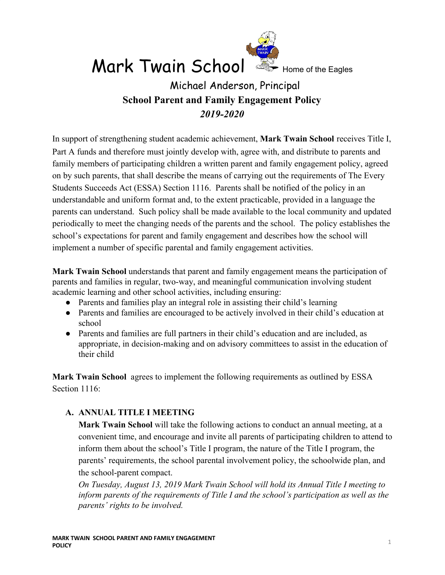

 $Mark Twain School \cong_{Home of the Eaales}$ 

# Michael Anderson, Principal **School Parent and Family Engagement Policy** *2019-2020*

In support of strengthening student academic achievement, **Mark Twain School** receives Title I, Part A funds and therefore must jointly develop with, agree with, and distribute to parents and family members of participating children a written parent and family engagement policy, agreed on by such parents, that shall describe the means of carrying out the requirements of The Every Students Succeeds Act (ESSA) Section 1116. Parents shall be notified of the policy in an understandable and uniform format and, to the extent practicable, provided in a language the parents can understand. Such policy shall be made available to the local community and updated periodically to meet the changing needs of the parents and the school. The policy establishes the school's expectations for parent and family engagement and describes how the school will implement a number of specific parental and family engagement activities.

**Mark Twain School** understands that parent and family engagement means the participation of parents and families in regular, two-way, and meaningful communication involving student academic learning and other school activities, including ensuring:

- Parents and families play an integral role in assisting their child's learning
- Parents and families are encouraged to be actively involved in their child's education at school
- Parents and families are full partners in their child's education and are included, as appropriate, in decision-making and on advisory committees to assist in the education of their child

**Mark Twain School** agrees to implement the following requirements as outlined by ESSA Section 1116<sup>-</sup>

## **A. ANNUAL TITLE I MEETING**

**Mark Twain School** will take the following actions to conduct an annual meeting, at a convenient time, and encourage and invite all parents of participating children to attend to inform them about the school's Title I program, the nature of the Title I program, the parents' requirements, the school parental involvement policy, the schoolwide plan, and the school-parent compact.

*On Tuesday, August 13, 2019 Mark Twain School will hold its Annual Title I meeting to inform parents of the requirements of Title I and the school's participation as well as the parents' rights to be involved.*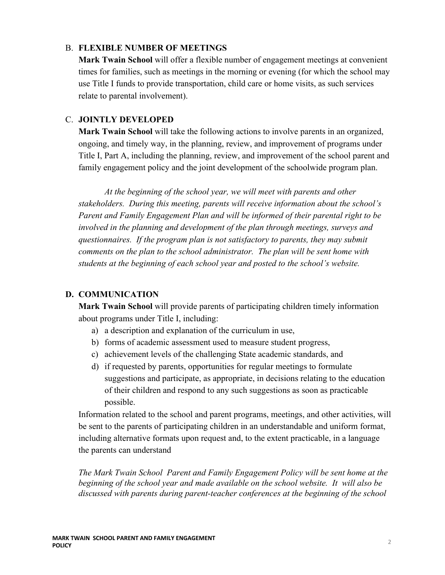#### B. **FLEXIBLE NUMBER OF MEETINGS**

**Mark Twain School** will offer a flexible number of engagement meetings at convenient times for families, such as meetings in the morning or evening (for which the school may use Title I funds to provide transportation, child care or home visits, as such services relate to parental involvement).

## C. **JOINTLY DEVELOPED**

**Mark Twain School** will take the following actions to involve parents in an organized, ongoing, and timely way, in the planning, review, and improvement of programs under Title I, Part A, including the planning, review, and improvement of the school parent and family engagement policy and the joint development of the schoolwide program plan.

*At the beginning of the school year, we will meet with parents and other stakeholders. During this meeting, parents will receive information about the school's Parent and Family Engagement Plan and will be informed of their parental right to be involved in the planning and development of the plan through meetings, surveys and questionnaires. If the program plan is not satisfactory to parents, they may submit comments on the plan to the school administrator. The plan will be sent home with students at the beginning of each school year and posted to the school's website.*

#### **D. COMMUNICATION**

**Mark Twain School** will provide parents of participating children timely information about programs under Title I, including:

- a) a description and explanation of the curriculum in use,
- b) forms of academic assessment used to measure student progress,
- c) achievement levels of the challenging State academic standards, and
- d) if requested by parents, opportunities for regular meetings to formulate suggestions and participate, as appropriate, in decisions relating to the education of their children and respond to any such suggestions as soon as practicable possible.

Information related to the school and parent programs, meetings, and other activities, will be sent to the parents of participating children in an understandable and uniform format, including alternative formats upon request and, to the extent practicable, in a language the parents can understand

*The Mark Twain School Parent and Family Engagement Policy will be sent home at the beginning of the school year and made available on the school website. It will also be discussed with parents during parent-teacher conferences at the beginning of the school*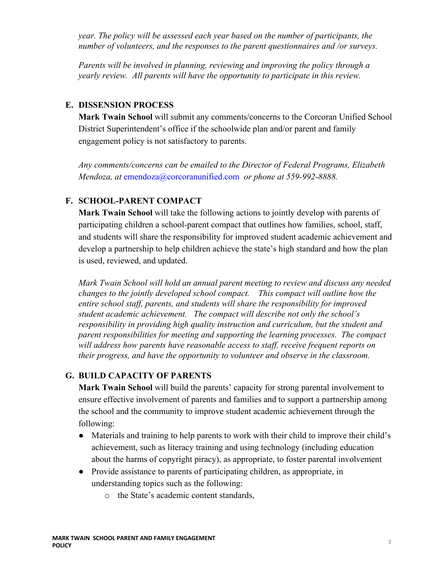*year. The policy will be assessed each year based on the number of participants, the number of volunteers, and the responses to the parent questionnaires and /or surveys.*

*Parents will be involved in planning, reviewing and improving the policy through a yearly review. All parents will have the opportunity to participate in this review.*

## **E. DISSENSION PROCESS**

**Mark Twain School** will submit any comments/concerns to the Corcoran Unified School District Superintendent's office if the schoolwide plan and/or parent and family engagement policy is not satisfactory to parents.

*Any comments/concerns can be emailed to the Director of Federal Programs, Elizabeth Mendoza, at* [emendoza@corcoranunified.com](mailto:emendoza@corcoranunified.com) *or phone at 559-992-8888.*

## **F. SCHOOL-PARENT COMPACT**

**Mark Twain School** will take the following actions to jointly develop with parents of participating children a school-parent compact that outlines how families, school, staff, and students will share the responsibility for improved student academic achievement and develop a partnership to help children achieve the state's high standard and how the plan is used, reviewed, and updated.

*Mark Twain School will hold an annual parent meeting to review and discuss any needed changes to the jointly developed school compact. This compact will outline how the entire school staff, parents, and students will share the responsibility for improved student academic achievement. The compact will describe not only the school's responsibility in providing high quality instruction and curriculum, but the student and parent responsibilities for meeting and supporting the learning processes. The compact will address how parents have reasonable access to staff, receive frequent reports on their progress, and have the opportunity to volunteer and observe in the classroom.*

## **G. BUILD CAPACITY OF PARENTS**

**Mark Twain School** will build the parents' capacity for strong parental involvement to ensure effective involvement of parents and families and to support a partnership among the school and the community to improve student academic achievement through the following:

- Materials and training to help parents to work with their child to improve their child's achievement, such as literacy training and using technology (including education about the harms of copyright piracy), as appropriate, to foster parental involvement
- Provide assistance to parents of participating children, as appropriate, in understanding topics such as the following:
	- o the State's academic content standards,